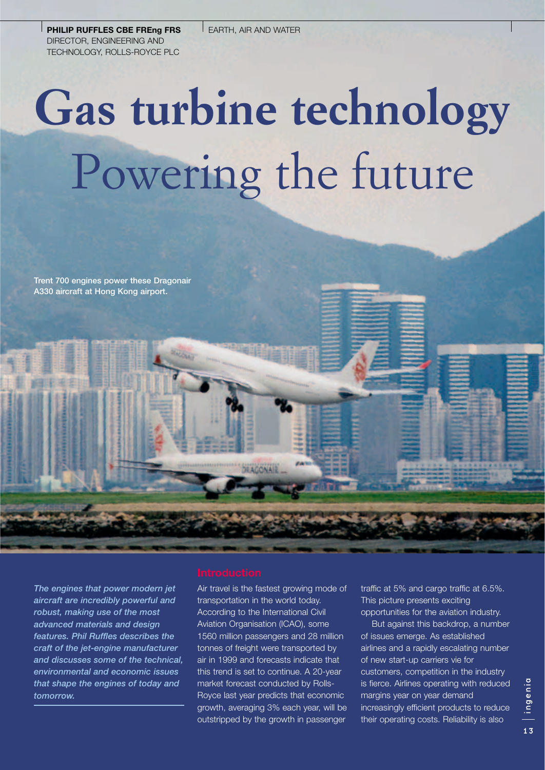**PHILIP RUFFLES CBE FREng FRS** DIRECTOR, ENGINEERING AND TECHNOLOGY, ROLLS-ROYCE PLC

# **Gas turbine technology** Powering the future

**Trent 700 engines power these Dragonair A330 aircraft at Hong Kong airport.**

*The engines that power modern jet aircraft are incredibly powerful and robust, making use of the most advanced materials and design features. Phil Ruffles describes the craft of the jet-engine manufacturer and discusses some of the technical, environmental and economic issues that shape the engines of today and tomorrow.*

Air travel is the fastest growing mode of transportation in the world today. According to the International Civil Aviation Organisation (ICAO), some 1560 million passengers and 28 million tonnes of freight were transported by air in 1999 and forecasts indicate that this trend is set to continue. A 20-year market forecast conducted by Rolls-Royce last year predicts that economic growth, averaging 3% each year, will be outstripped by the growth in passenger

DEAGONAI

traffic at 5% and cargo traffic at 6.5%. This picture presents exciting opportunities for the aviation industry.

But against this backdrop, a number of issues emerge. As established airlines and a rapidly escalating number of new start-up carriers vie for customers, competition in the industry is fierce. Airlines operating with reduced margins year on year demand increasingly efficient products to reduce their operating costs. Reliability is also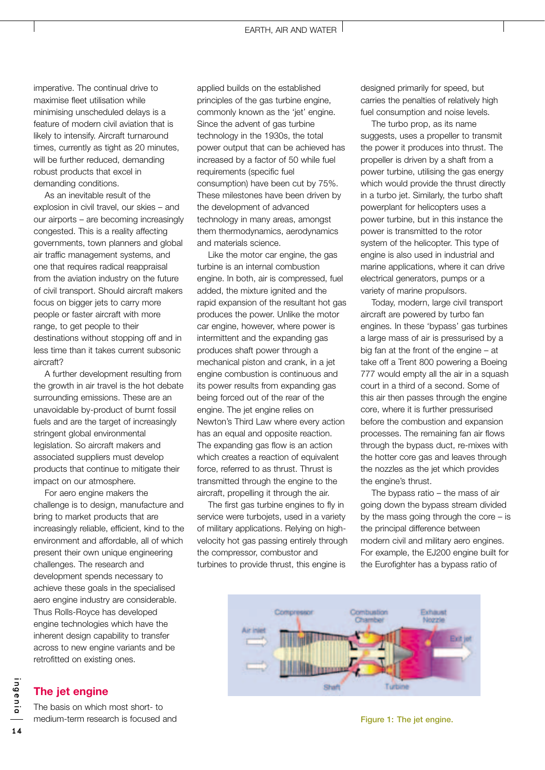imperative. The continual drive to maximise fleet utilisation while minimising unscheduled delays is a feature of modern civil aviation that is likely to intensify. Aircraft turnaround times, currently as tight as 20 minutes, will be further reduced, demanding robust products that excel in demanding conditions.

As an inevitable result of the explosion in civil travel, our skies – and our airports – are becoming increasingly congested. This is a reality affecting governments, town planners and global air traffic management systems, and one that requires radical reappraisal from the aviation industry on the future of civil transport. Should aircraft makers focus on bigger jets to carry more people or faster aircraft with more range, to get people to their destinations without stopping off and in less time than it takes current subsonic aircraft?

A further development resulting from the growth in air travel is the hot debate surrounding emissions. These are an unavoidable by-product of burnt fossil fuels and are the target of increasingly stringent global environmental legislation. So aircraft makers and associated suppliers must develop products that continue to mitigate their impact on our atmosphere.

For aero engine makers the challenge is to design, manufacture and bring to market products that are increasingly reliable, efficient, kind to the environment and affordable, all of which present their own unique engineering challenges. The research and development spends necessary to achieve these goals in the specialised aero engine industry are considerable. Thus Rolls-Royce has developed engine technologies which have the inherent design capability to transfer across to new engine variants and be retrofitted on existing ones.

# **The jet engine**

The basis on which most short- to medium-term research is focused and

applied builds on the established principles of the gas turbine engine, commonly known as the 'jet' engine. Since the advent of gas turbine technology in the 1930s, the total power output that can be achieved has increased by a factor of 50 while fuel requirements (specific fuel consumption) have been cut by 75%. These milestones have been driven by the development of advanced technology in many areas, amongst them thermodynamics, aerodynamics and materials science.

Like the motor car engine, the gas turbine is an internal combustion engine. In both, air is compressed, fuel added, the mixture ignited and the rapid expansion of the resultant hot gas produces the power. Unlike the motor car engine, however, where power is intermittent and the expanding gas produces shaft power through a mechanical piston and crank, in a jet engine combustion is continuous and its power results from expanding gas being forced out of the rear of the engine. The jet engine relies on Newton's Third Law where every action has an equal and opposite reaction. The expanding gas flow is an action which creates a reaction of equivalent force, referred to as thrust. Thrust is transmitted through the engine to the aircraft, propelling it through the air.

The first gas turbine engines to fly in service were turbojets, used in a variety of military applications. Relying on highvelocity hot gas passing entirely through the compressor, combustor and turbines to provide thrust, this engine is

designed primarily for speed, but carries the penalties of relatively high fuel consumption and noise levels.

The turbo prop, as its name suggests, uses a propeller to transmit the power it produces into thrust. The propeller is driven by a shaft from a power turbine, utilising the gas energy which would provide the thrust directly in a turbo jet. Similarly, the turbo shaft powerplant for helicopters uses a power turbine, but in this instance the power is transmitted to the rotor system of the helicopter. This type of engine is also used in industrial and marine applications, where it can drive electrical generators, pumps or a variety of marine propulsors.

Today, modern, large civil transport aircraft are powered by turbo fan engines. In these 'bypass' gas turbines a large mass of air is pressurised by a big fan at the front of the engine – at take off a Trent 800 powering a Boeing 777 would empty all the air in a squash court in a third of a second. Some of this air then passes through the engine core, where it is further pressurised before the combustion and expansion processes. The remaining fan air flows through the bypass duct, re-mixes with the hotter core gas and leaves through the nozzles as the jet which provides the engine's thrust.

The bypass ratio – the mass of air going down the bypass stream divided by the mass going through the core – is the principal difference between modern civil and military aero engines. For example, the EJ200 engine built for the Eurofighter has a bypass ratio of



**Figure 1: The jet engine.**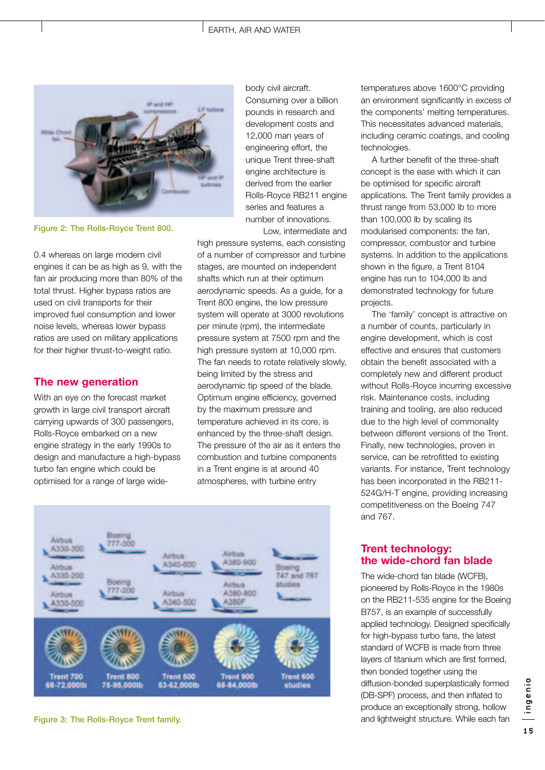#### EARTH, AIR AND WATER



**Figure 2: The Rolls-Royce Trent 800.**

0.4 whereas on large modern civil engines it can be as high as 9, with the fan air producing more than 80% of the total thrust. Higher bypass ratios are used on civil transports for their improved fuel consumption and lower noise levels, whereas lower bypass ratios are used on military applications for their higher thrust-to-weight ratio.

### **The new generation**

With an eye on the forecast market growth in large civil transport aircraft carrying upwards of 300 passengers, Rolls-Royce embarked on a new engine strategy in the early 1990s to design and manufacture a high-bypass turbo fan engine which could be optimised for a range of large widebody civil aircraft. Consuming over a billion pounds in research and development costs and 12,000 man years of engineering effort, the unique Trent three-shaft engine architecture is derived from the earlier Rolls-Royce RB211 engine series and features a number of innovations. Low, intermediate and

high pressure systems, each consisting of a number of compressor and turbine stages, are mounted on independent shafts which run at their optimum aerodynamic speeds. As a guide, for a Trent 800 engine, the low pressure system will operate at 3000 revolutions per minute (rpm), the intermediate pressure system at 7500 rpm and the high pressure system at 10,000 rpm. The fan needs to rotate relatively slowly, being limited by the stress and aerodynamic tip speed of the blade. Optimum engine efficiency, governed by the maximum pressure and temperature achieved in its core, is enhanced by the three-shaft design. The pressure of the air as it enters the combustion and turbine components in a Trent engine is at around 40 atmospheres, with turbine entry



**Figure 3: The Rolls-Royce Trent family.**

temperatures above 1600°C providing an environment significantly in excess of the components' melting temperatures. This necessitates advanced materials, including ceramic coatings, and cooling technologies.

A further benefit of the three-shaft concept is the ease with which it can be optimised for specific aircraft applications. The Trent family provides a thrust range from 53,000 lb to more than 100,000 lb by scaling its modularised components: the fan, compressor, combustor and turbine systems. In addition to the applications shown in the figure, a Trent 8104 engine has run to 104,000 lb and demonstrated technology for future projects.

The 'family' concept is attractive on a number of counts, particularly in engine development, which is cost effective and ensures that customers obtain the benefit associated with a completely new and different product without Rolls-Royce incurring excessive risk. Maintenance costs, including training and tooling, are also reduced due to the high level of commonality between different versions of the Trent. Finally, new technologies, proven in service, can be retrofitted to existing variants. For instance, Trent technology has been incorporated in the RB211- 524G/H-T engine, providing increasing competitiveness on the Boeing 747 and 767.

# **Trent technology: the wide-chord fan blade**

The wide-chord fan blade (WCFB), pioneered by Rolls-Royce in the 1980s on the RB211-535 engine for the Boeing B757, is an example of successfully applied technology. Designed specifically for high-bypass turbo fans, the latest standard of WCFB is made from three layers of titanium which are first formed, then bonded together using the diffusion-bonded superplastically formed (DB-SPF) process, and then inflated to produce an exceptionally strong, hollow and lightweight structure. While each fan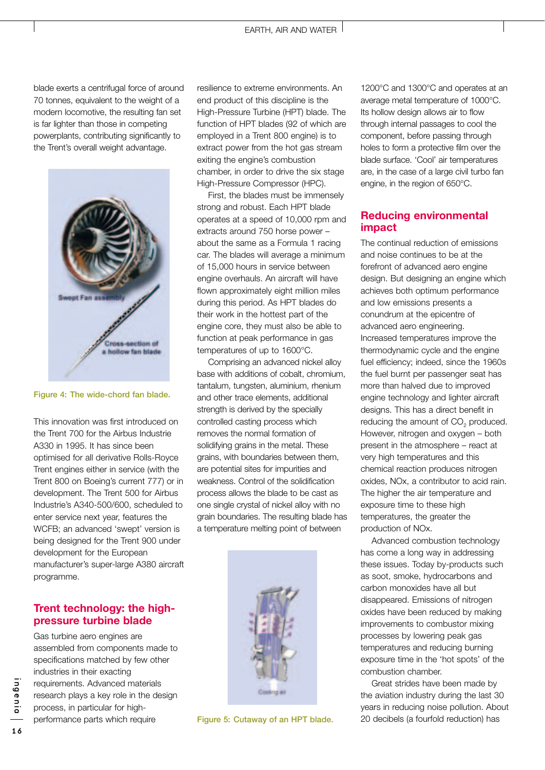blade exerts a centrifugal force of around 70 tonnes, equivalent to the weight of a modern locomotive, the resulting fan set is far lighter than those in competing powerplants, contributing significantly to the Trent's overall weight advantage.



#### **Figure 4: The wide-chord fan blade.**

This innovation was first introduced on the Trent 700 for the Airbus Industrie A330 in 1995. It has since been optimised for all derivative Rolls-Royce Trent engines either in service (with the Trent 800 on Boeing's current 777) or in development. The Trent 500 for Airbus Industrie's A340-500/600, scheduled to enter service next year, features the WCFB; an advanced 'swept' version is being designed for the Trent 900 under development for the European manufacturer's super-large A380 aircraft programme.

# **Trent technology: the highpressure turbine blade**

Gas turbine aero engines are assembled from components made to specifications matched by few other industries in their exacting requirements. Advanced materials research plays a key role in the design process, in particular for highperformance parts which require

resilience to extreme environments. An end product of this discipline is the High-Pressure Turbine (HPT) blade. The function of HPT blades (92 of which are employed in a Trent 800 engine) is to extract power from the hot gas stream exiting the engine's combustion chamber, in order to drive the six stage High-Pressure Compressor (HPC).

First, the blades must be immensely strong and robust. Each HPT blade operates at a speed of 10,000 rpm and extracts around 750 horse power – about the same as a Formula 1 racing car. The blades will average a minimum of 15,000 hours in service between engine overhauls. An aircraft will have flown approximately eight million miles during this period. As HPT blades do their work in the hottest part of the engine core, they must also be able to function at peak performance in gas temperatures of up to 1600°C.

Comprising an advanced nickel alloy base with additions of cobalt, chromium, tantalum, tungsten, aluminium, rhenium and other trace elements, additional strength is derived by the specially controlled casting process which removes the normal formation of solidifying grains in the metal. These grains, with boundaries between them, are potential sites for impurities and weakness. Control of the solidification process allows the blade to be cast as one single crystal of nickel alloy with no grain boundaries. The resulting blade has a temperature melting point of between



**Figure 5: Cutaway of an HPT blade.**

1200°C and 1300°C and operates at an average metal temperature of 1000°C. Its hollow design allows air to flow through internal passages to cool the component, before passing through holes to form a protective film over the blade surface. 'Cool' air temperatures are, in the case of a large civil turbo fan engine, in the region of 650°C.

## **Reducing environmental impact**

The continual reduction of emissions and noise continues to be at the forefront of advanced aero engine design. But designing an engine which achieves both optimum performance and low emissions presents a conundrum at the epicentre of advanced aero engineering. Increased temperatures improve the thermodynamic cycle and the engine fuel efficiency; indeed, since the 1960s the fuel burnt per passenger seat has more than halved due to improved engine technology and lighter aircraft designs. This has a direct benefit in reducing the amount of CO<sub>2</sub> produced. However, nitrogen and oxygen – both present in the atmosphere – react at very high temperatures and this chemical reaction produces nitrogen oxides, NOx, a contributor to acid rain. The higher the air temperature and exposure time to these high temperatures, the greater the production of NOx.

Advanced combustion technology has come a long way in addressing these issues. Today by-products such as soot, smoke, hydrocarbons and carbon monoxides have all but disappeared. Emissions of nitrogen oxides have been reduced by making improvements to combustor mixing processes by lowering peak gas temperatures and reducing burning exposure time in the 'hot spots' of the combustion chamber.

Great strides have been made by the aviation industry during the last 30 years in reducing noise pollution. About 20 decibels (a fourfold reduction) has